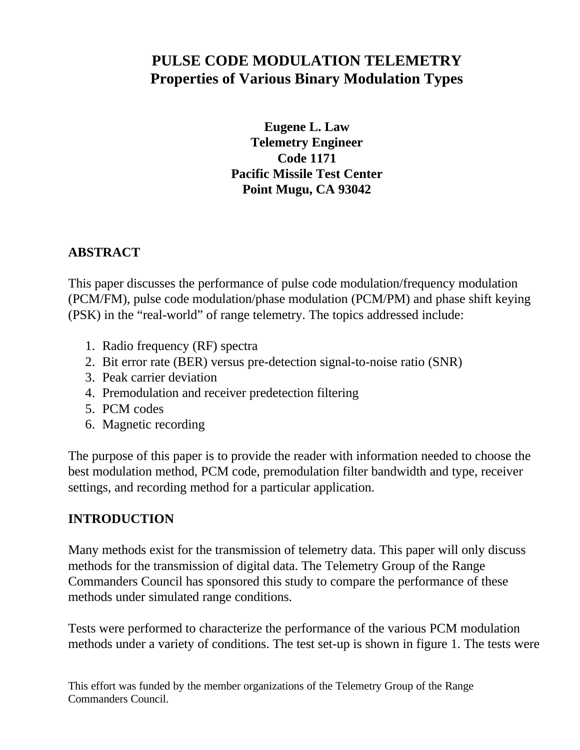# **PULSE CODE MODULATION TELEMETRY Properties of Various Binary Modulation Types**

**Eugene L. Law Telemetry Engineer Code 1171 Pacific Missile Test Center Point Mugu, CA 93042**

# **ABSTRACT**

This paper discusses the performance of pulse code modulation/frequency modulation (PCM/FM), pulse code modulation/phase modulation (PCM/PM) and phase shift keying (PSK) in the "real-world" of range telemetry. The topics addressed include:

- 1. Radio frequency (RF) spectra
- 2. Bit error rate (BER) versus pre-detection signal-to-noise ratio (SNR)
- 3. Peak carrier deviation
- 4. Premodulation and receiver predetection filtering
- 5. PCM codes
- 6. Magnetic recording

The purpose of this paper is to provide the reader with information needed to choose the best modulation method, PCM code, premodulation filter bandwidth and type, receiver settings, and recording method for a particular application.

#### **INTRODUCTION**

Many methods exist for the transmission of telemetry data. This paper will only discuss methods for the transmission of digital data. The Telemetry Group of the Range Commanders Council has sponsored this study to compare the performance of these methods under simulated range conditions.

Tests were performed to characterize the performance of the various PCM modulation methods under a variety of conditions. The test set-up is shown in figure 1. The tests were

This effort was funded by the member organizations of the Telemetry Group of the Range Commanders Council.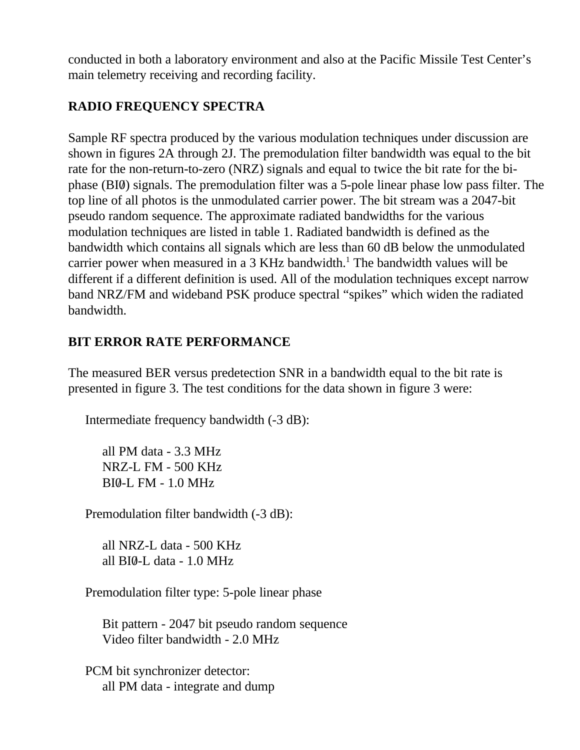conducted in both a laboratory environment and also at the Pacific Missile Test Center's main telemetry receiving and recording facility.

# **RADIO FREQUENCY SPECTRA**

Sample RF spectra produced by the various modulation techniques under discussion are shown in figures 2A through 2J. The premodulation filter bandwidth was equal to the bit rate for the non-return-to-zero (NRZ) signals and equal to twice the bit rate for the biphase (BI0/) signals. The premodulation filter was a 5-pole linear phase low pass filter. The top line of all photos is the unmodulated carrier power. The bit stream was a 2047-bit pseudo random sequence. The approximate radiated bandwidths for the various modulation techniques are listed in table 1. Radiated bandwidth is defined as the bandwidth which contains all signals which are less than 60 dB below the unmodulated carrier power when measured in a 3 KHz bandwidth.<sup>1</sup> The bandwidth values will be different if a different definition is used. All of the modulation techniques except narrow band NRZ/FM and wideband PSK produce spectral "spikes" which widen the radiated bandwidth.

# **BIT ERROR RATE PERFORMANCE**

The measured BER versus predetection SNR in a bandwidth equal to the bit rate is presented in figure 3. The test conditions for the data shown in figure 3 were:

Intermediate frequency bandwidth (-3 dB):

all PM data - 3.3 MHz NRZ-L FM - 500 KHz BI0/-L FM - 1.0 MHz

Premodulation filter bandwidth (-3 dB):

all NRZ-L data - 500 KHz all  $BI0-L$  data -  $1.0$  MHz

Premodulation filter type: 5-pole linear phase

Bit pattern - 2047 bit pseudo random sequence Video filter bandwidth - 2.0 MHz

PCM bit synchronizer detector: all PM data - integrate and dump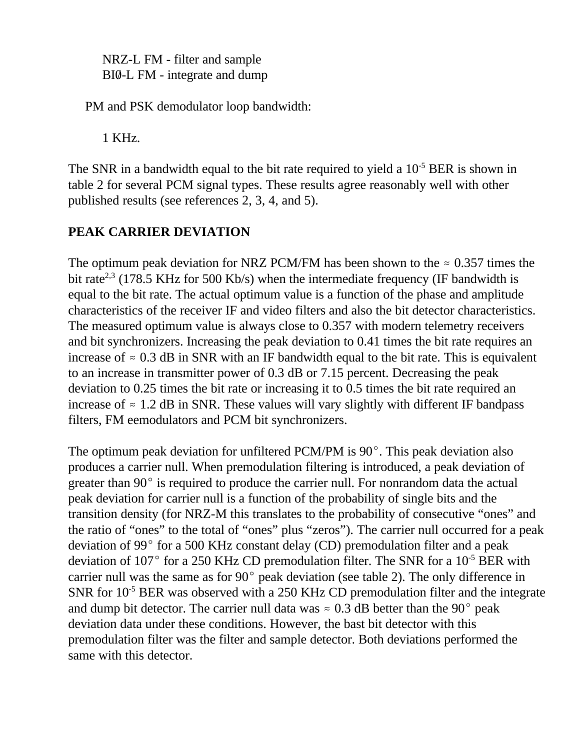NRZ-L FM - filter and sample BI0-L FM - integrate and dump

PM and PSK demodulator loop bandwidth:

1 KHz.

The SNR in a bandwidth equal to the bit rate required to yield a  $10^{-5}$  BER is shown in table 2 for several PCM signal types. These results agree reasonably well with other published results (see references 2, 3, 4, and 5).

# **PEAK CARRIER DEVIATION**

The optimum peak deviation for NRZ PCM/FM has been shown to the  $\approx 0.357$  times the bit rate<sup>2,3</sup> (178.5 KHz for 500 Kb/s) when the intermediate frequency (IF bandwidth is equal to the bit rate. The actual optimum value is a function of the phase and amplitude characteristics of the receiver IF and video filters and also the bit detector characteristics. The measured optimum value is always close to 0.357 with modern telemetry receivers and bit synchronizers. Increasing the peak deviation to 0.41 times the bit rate requires an increase of  $\approx 0.3$  dB in SNR with an IF bandwidth equal to the bit rate. This is equivalent to an increase in transmitter power of 0.3 dB or 7.15 percent. Decreasing the peak deviation to 0.25 times the bit rate or increasing it to 0.5 times the bit rate required an increase of  $\approx$  1.2 dB in SNR. These values will vary slightly with different IF bandpass filters, FM eemodulators and PCM bit synchronizers.

The optimum peak deviation for unfiltered PCM/PM is  $90^\circ$ . This peak deviation also produces a carrier null. When premodulation filtering is introduced, a peak deviation of greater than  $90^{\circ}$  is required to produce the carrier null. For nonrandom data the actual peak deviation for carrier null is a function of the probability of single bits and the transition density (for NRZ-M this translates to the probability of consecutive "ones" and the ratio of "ones" to the total of "ones" plus "zeros"). The carrier null occurred for a peak deviation of 99 $^{\circ}$  for a 500 KHz constant delay (CD) premodulation filter and a peak deviation of 107 $^{\circ}$  for a 250 KHz CD premodulation filter. The SNR for a 10<sup>-5</sup> BER with carrier null was the same as for  $90^{\circ}$  peak deviation (see table 2). The only difference in SNR for  $10^{-5}$  BER was observed with a 250 KHz CD premodulation filter and the integrate and dump bit detector. The carrier null data was  $\approx 0.3$  dB better than the 90 $^{\circ}$  peak deviation data under these conditions. However, the bast bit detector with this premodulation filter was the filter and sample detector. Both deviations performed the same with this detector.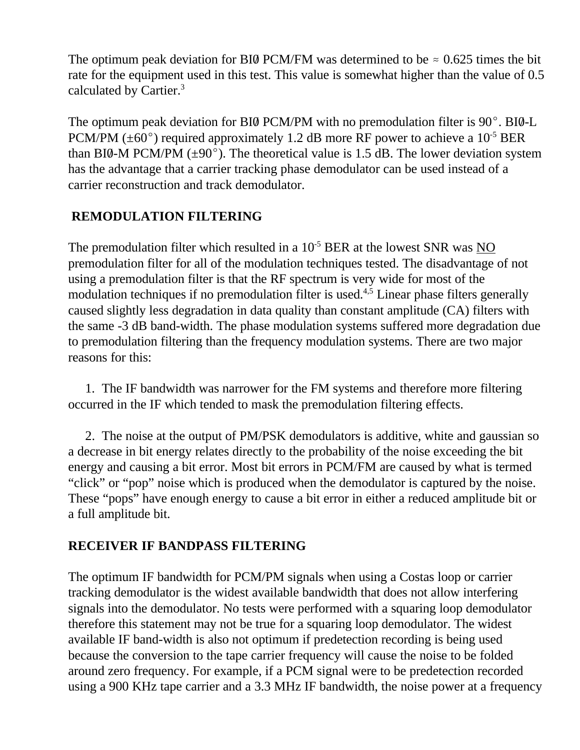The optimum peak deviation for BI0 PCM/FM was determined to be  $\approx 0.625$  times the bit rate for the equipment used in this test. This value is somewhat higher than the value of 0.5 calculated by Cartier.<sup>3</sup>

The optimum peak deviation for BI0 PCM/PM with no premodulation filter is  $90^{\circ}$ . BI0-L PCM/PM ( $\pm 60^{\circ}$ ) required approximately 1.2 dB more RF power to achieve a 10<sup>-5</sup> BER than BI0-M PCM/PM  $(\pm 90^{\circ})$ . The theoretical value is 1.5 dB. The lower deviation system has the advantage that a carrier tracking phase demodulator can be used instead of a carrier reconstruction and track demodulator.

# **REMODULATION FILTERING**

The premodulation filter which resulted in a  $10^{-5}$  BER at the lowest SNR was NO premodulation filter for all of the modulation techniques tested. The disadvantage of not using a premodulation filter is that the RF spectrum is very wide for most of the modulation techniques if no premodulation filter is used.<sup>4,5</sup> Linear phase filters generally caused slightly less degradation in data quality than constant amplitude (CA) filters with the same -3 dB band-width. The phase modulation systems suffered more degradation due to premodulation filtering than the frequency modulation systems. There are two major reasons for this:

1. The IF bandwidth was narrower for the FM systems and therefore more filtering occurred in the IF which tended to mask the premodulation filtering effects.

2. The noise at the output of PM/PSK demodulators is additive, white and gaussian so a decrease in bit energy relates directly to the probability of the noise exceeding the bit energy and causing a bit error. Most bit errors in PCM/FM are caused by what is termed "click" or "pop" noise which is produced when the demodulator is captured by the noise. These "pops" have enough energy to cause a bit error in either a reduced amplitude bit or a full amplitude bit.

#### **RECEIVER IF BANDPASS FILTERING**

The optimum IF bandwidth for PCM/PM signals when using a Costas loop or carrier tracking demodulator is the widest available bandwidth that does not allow interfering signals into the demodulator. No tests were performed with a squaring loop demodulator therefore this statement may not be true for a squaring loop demodulator. The widest available IF band-width is also not optimum if predetection recording is being used because the conversion to the tape carrier frequency will cause the noise to be folded around zero frequency. For example, if a PCM signal were to be predetection recorded using a 900 KHz tape carrier and a 3.3 MHz IF bandwidth, the noise power at a frequency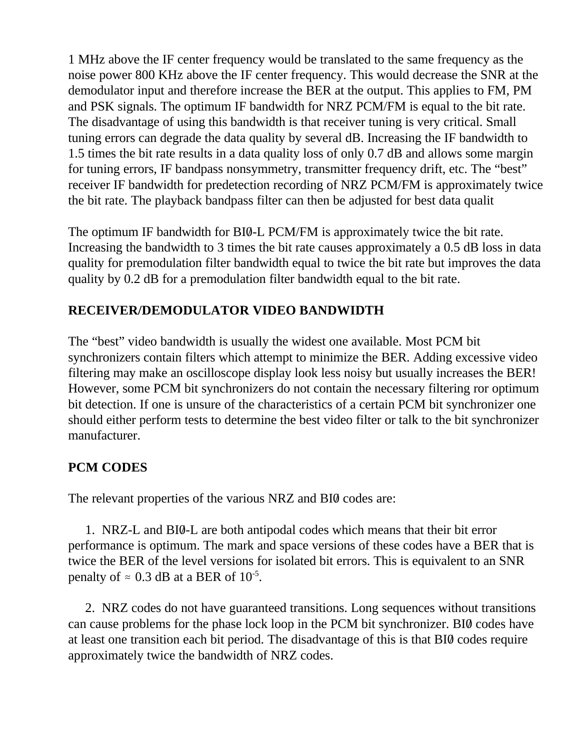1 MHz above the IF center frequency would be translated to the same frequency as the noise power 800 KHz above the IF center frequency. This would decrease the SNR at the demodulator input and therefore increase the BER at the output. This applies to FM, PM and PSK signals. The optimum IF bandwidth for NRZ PCM/FM is equal to the bit rate. The disadvantage of using this bandwidth is that receiver tuning is very critical. Small tuning errors can degrade the data quality by several dB. Increasing the IF bandwidth to 1.5 times the bit rate results in a data quality loss of only 0.7 dB and allows some margin for tuning errors, IF bandpass nonsymmetry, transmitter frequency drift, etc. The "best" receiver IF bandwidth for predetection recording of NRZ PCM/FM is approximately twice the bit rate. The playback bandpass filter can then be adjusted for best data qualit

The optimum IF bandwidth for BI0-L PCM/FM is approximately twice the bit rate. Increasing the bandwidth to 3 times the bit rate causes approximately a 0.5 dB loss in data quality for premodulation filter bandwidth equal to twice the bit rate but improves the data quality by 0.2 dB for a premodulation filter bandwidth equal to the bit rate.

# **RECEIVER/DEMODULATOR VIDEO BANDWIDTH**

The "best" video bandwidth is usually the widest one available. Most PCM bit synchronizers contain filters which attempt to minimize the BER. Adding excessive video filtering may make an oscilloscope display look less noisy but usually increases the BER! However, some PCM bit synchronizers do not contain the necessary filtering ror optimum bit detection. If one is unsure of the characteristics of a certain PCM bit synchronizer one should either perform tests to determine the best video filter or talk to the bit synchronizer manufacturer.

#### **PCM CODES**

The relevant properties of the various NRZ and BI0 codes are:

1. NRZ-L and BI0/-L are both antipodal codes which means that their bit error performance is optimum. The mark and space versions of these codes have a BER that is twice the BER of the level versions for isolated bit errors. This is equivalent to an SNR penalty of  $\approx 0.3$  dB at a BER of  $10^{-5}$ .

2. NRZ codes do not have guaranteed transitions. Long sequences without transitions can cause problems for the phase lock loop in the PCM bit synchronizer. BIQ codes have at least one transition each bit period. The disadvantage of this is that BI0/ codes require approximately twice the bandwidth of NRZ codes.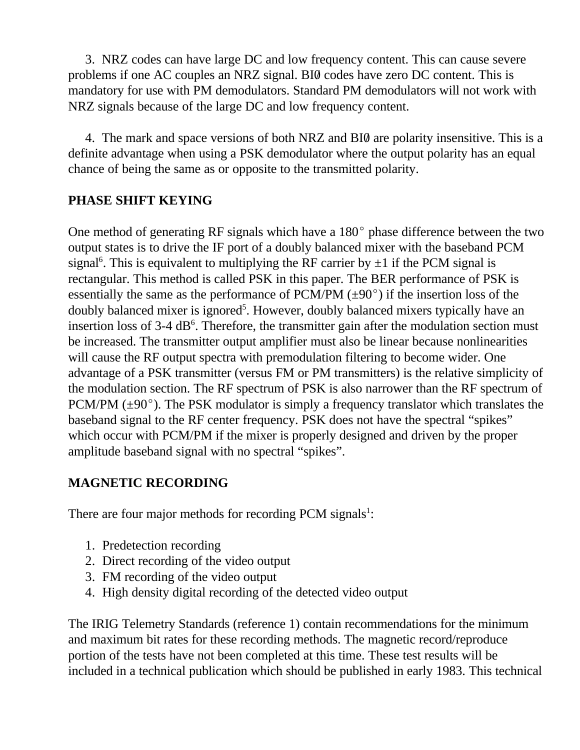3. NRZ codes can have large DC and low frequency content. This can cause severe problems if one AC couples an NRZ signal. BI0/ codes have zero DC content. This is mandatory for use with PM demodulators. Standard PM demodulators will not work with NRZ signals because of the large DC and low frequency content.

4. The mark and space versions of both NRZ and BI0 are polarity insensitive. This is a definite advantage when using a PSK demodulator where the output polarity has an equal chance of being the same as or opposite to the transmitted polarity.

#### **PHASE SHIFT KEYING**

One method of generating RF signals which have a  $180^{\circ}$  phase difference between the two output states is to drive the IF port of a doubly balanced mixer with the baseband PCM signal<sup>6</sup>. This is equivalent to multiplying the RF carrier by  $\pm 1$  if the PCM signal is rectangular. This method is called PSK in this paper. The BER performance of PSK is essentially the same as the performance of PCM/PM  $(\pm 90^{\circ})$  if the insertion loss of the doubly balanced mixer is ignored<sup>5</sup>. However, doubly balanced mixers typically have an insertion loss of 3-4 dB<sup>6</sup>. Therefore, the transmitter gain after the modulation section must be increased. The transmitter output amplifier must also be linear because nonlinearities will cause the RF output spectra with premodulation filtering to become wider. One advantage of a PSK transmitter (versus FM or PM transmitters) is the relative simplicity of the modulation section. The RF spectrum of PSK is also narrower than the RF spectrum of PCM/PM  $(\pm 90^{\circ})$ . The PSK modulator is simply a frequency translator which translates the baseband signal to the RF center frequency. PSK does not have the spectral "spikes" which occur with PCM/PM if the mixer is properly designed and driven by the proper amplitude baseband signal with no spectral "spikes".

#### **MAGNETIC RECORDING**

There are four major methods for recording PCM signals $^1$ :

- 1. Predetection recording
- 2. Direct recording of the video output
- 3. FM recording of the video output
- 4. High density digital recording of the detected video output

The IRIG Telemetry Standards (reference 1) contain recommendations for the minimum and maximum bit rates for these recording methods. The magnetic record/reproduce portion of the tests have not been completed at this time. These test results will be included in a technical publication which should be published in early 1983. This technical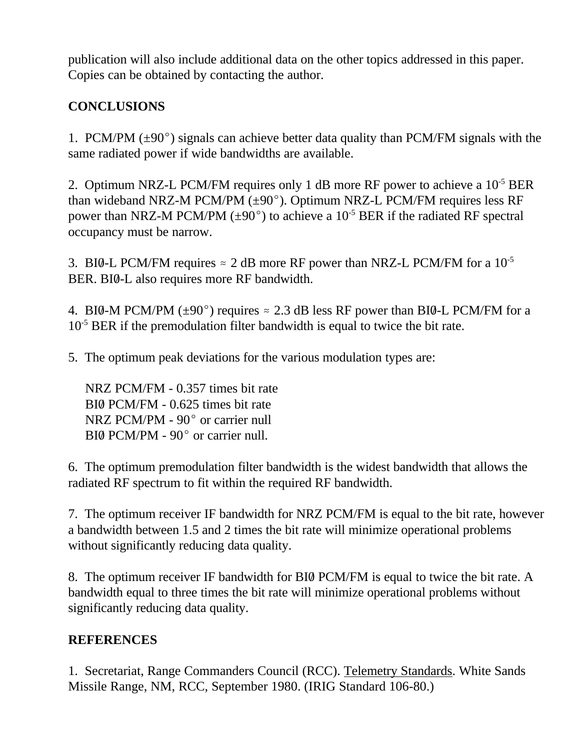publication will also include additional data on the other topics addressed in this paper. Copies can be obtained by contacting the author.

# **CONCLUSIONS**

1. PCM/PM  $(\pm 90^{\circ})$  signals can achieve better data quality than PCM/FM signals with the same radiated power if wide bandwidths are available.

2. Optimum NRZ-L PCM/FM requires only 1 dB more RF power to achieve a 10-5 BER than wideband NRZ-M PCM/PM  $(\pm 90^{\circ})$ . Optimum NRZ-L PCM/FM requires less RF power than NRZ-M PCM/PM ( $\pm$ 90°) to achieve a 10<sup>-5</sup> BER if the radiated RF spectral occupancy must be narrow.

3. BI0-L PCM/FM requires  $\approx 2$  dB more RF power than NRZ-L PCM/FM for a 10<sup>-5</sup> BER. BI0-L also requires more RF bandwidth.

4. BI0-M PCM/PM ( $\pm$ 90<sup>o</sup>) requires  $\approx$  2.3 dB less RF power than BI0-L PCM/FM for a 10<sup>-5</sup> BER if the premodulation filter bandwidth is equal to twice the bit rate.

5. The optimum peak deviations for the various modulation types are:

NRZ PCM/FM - 0.357 times bit rate BI0 PCM/FM - 0.625 times bit rate NRZ PCM/PM -  $90^{\circ}$  or carrier null  $BIØ$  PCM/PM -  $90^{\circ}$  or carrier null.

6. The optimum premodulation filter bandwidth is the widest bandwidth that allows the radiated RF spectrum to fit within the required RF bandwidth.

7. The optimum receiver IF bandwidth for NRZ PCM/FM is equal to the bit rate, however a bandwidth between 1.5 and 2 times the bit rate will minimize operational problems without significantly reducing data quality.

8. The optimum receiver IF bandwidth for BI0/ PCM/FM is equal to twice the bit rate. A bandwidth equal to three times the bit rate will minimize operational problems without significantly reducing data quality.

# **REFERENCES**

1. Secretariat, Range Commanders Council (RCC). Telemetry Standards. White Sands Missile Range, NM, RCC, September 1980. (IRIG Standard 106-80.)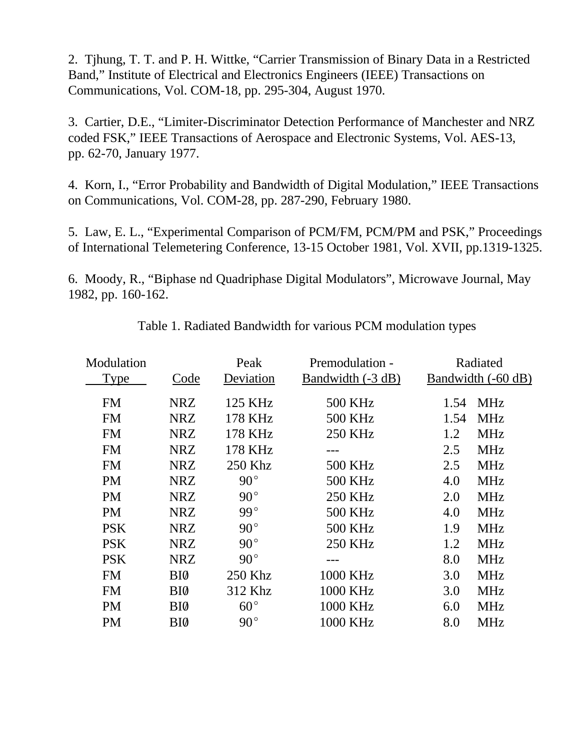2. Tjhung, T. T. and P. H. Wittke, "Carrier Transmission of Binary Data in a Restricted Band," Institute of Electrical and Electronics Engineers (IEEE) Transactions on Communications, Vol. COM-18, pp. 295-304, August 1970.

3. Cartier, D.E., "Limiter-Discriminator Detection Performance of Manchester and NRZ coded FSK," IEEE Transactions of Aerospace and Electronic Systems, Vol. AES-13, pp. 62-70, January 1977.

4. Korn, I., "Error Probability and Bandwidth of Digital Modulation," IEEE Transactions on Communications, Vol. COM-28, pp. 287-290, February 1980.

5. Law, E. L., "Experimental Comparison of PCM/FM, PCM/PM and PSK," Proceedings of International Telemetering Conference, 13-15 October 1981, Vol. XVII, pp.1319-1325.

6. Moody, R., "Biphase nd Quadriphase Digital Modulators", Microwave Journal, May 1982, pp. 160-162.

| Modulation  |                 | Peak         | Premodulation -   | Radiated |                    |
|-------------|-----------------|--------------|-------------------|----------|--------------------|
| <b>Type</b> | Code            | Deviation    | Bandwidth (-3 dB) |          | Bandwidth (-60 dB) |
| <b>FM</b>   | NRZ             | 125 KHz      | 500 KHz           | 1.54     | <b>MHz</b>         |
| <b>FM</b>   | <b>NRZ</b>      | 178 KHz      | <b>500 KHz</b>    | 1.54     | <b>MHz</b>         |
| <b>FM</b>   | <b>NRZ</b>      | 178 KHz      | <b>250 KHz</b>    | 1.2      | <b>MHz</b>         |
| <b>FM</b>   | NRZ             | 178 KHz      | ---               | 2.5      | <b>MHz</b>         |
| <b>FM</b>   | <b>NRZ</b>      | 250 Khz      | <b>500 KHz</b>    | 2.5      | <b>MHz</b>         |
| <b>PM</b>   | <b>NRZ</b>      | $90^{\circ}$ | <b>500 KHz</b>    | 4.0      | <b>MHz</b>         |
| <b>PM</b>   | <b>NRZ</b>      | $90^{\circ}$ | <b>250 KHz</b>    | 2.0      | <b>MHz</b>         |
| <b>PM</b>   | <b>NRZ</b>      | 99°          | <b>500 KHz</b>    | 4.0      | <b>MHz</b>         |
| <b>PSK</b>  | <b>NRZ</b>      | $90^{\circ}$ | <b>500 KHz</b>    | 1.9      | <b>MHz</b>         |
| <b>PSK</b>  | <b>NRZ</b>      | $90^{\circ}$ | <b>250 KHz</b>    | 1.2      | <b>MHz</b>         |
| <b>PSK</b>  | <b>NRZ</b>      | $90^{\circ}$ |                   | 8.0      | <b>MHz</b>         |
| <b>FM</b>   | BI0             | 250 Khz      | 1000 KHz          | 3.0      | <b>MHz</b>         |
| <b>FM</b>   | BI <sub>0</sub> | 312 Khz      | 1000 KHz          | 3.0      | <b>MHz</b>         |
| <b>PM</b>   | BI <sub>0</sub> | $60^{\circ}$ | 1000 KHz          | 6.0      | <b>MHz</b>         |
| <b>PM</b>   | BI0             | $90^{\circ}$ | 1000 KHz          | 8.0      | <b>MHz</b>         |

Table 1. Radiated Bandwidth for various PCM modulation types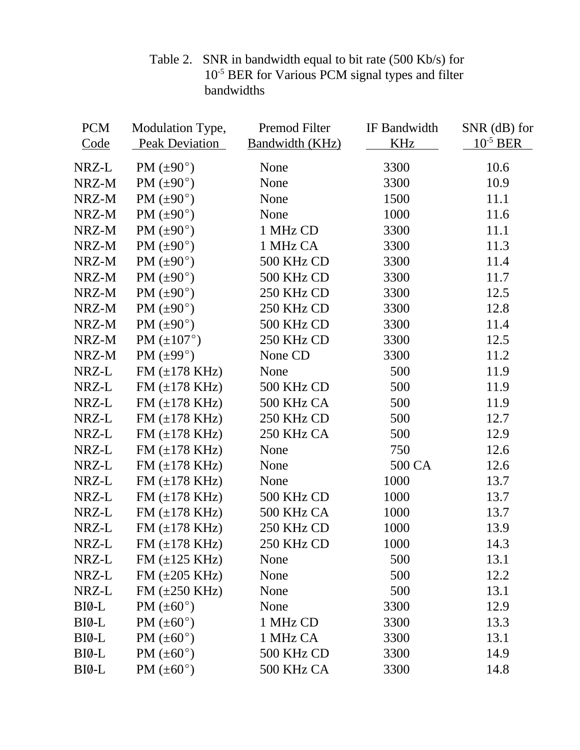| <b>PCM</b> | Modulation Type,           | Premod Filter          | IF Bandwidth | SNR (dB) for  |
|------------|----------------------------|------------------------|--------------|---------------|
| Code       | <b>Peak Deviation</b>      | <b>Bandwidth (KHz)</b> | <b>KHz</b>   | $10^{-5}$ BER |
| NRZ-L      | PM $(\pm 90^{\circ})$      | None                   | 3300         | 10.6          |
| NRZ-M      | PM $(\pm 90^{\circ})$      | None                   | 3300         | 10.9          |
| NRZ-M      | PM $(\pm 90^\circ)$        | None                   | 1500         | 11.1          |
| NRZ-M      | PM $(\pm 90^{\circ})$      | None                   | 1000         | 11.6          |
| NRZ-M      | PM $(\pm 90^{\circ})$      | 1 MHz CD               | 3300         | 11.1          |
| NRZ-M      | PM $(\pm 90^\circ)$        | 1 MHz CA               | 3300         | 11.3          |
| NRZ-M      | PM $(\pm 90^{\circ})$      | 500 KHz CD             | 3300         | 11.4          |
| NRZ-M      | PM $(\pm 90^{\circ})$      | 500 KHz CD             | 3300         | 11.7          |
| NRZ-M      | PM $(\pm 90^{\circ})$      | 250 KHz CD             | 3300         | 12.5          |
| NRZ-M      | PM $(\pm 90^{\circ})$      | 250 KHz CD             | 3300         | 12.8          |
| NRZ-M      | PM $(\pm 90^{\circ})$      | 500 KHz CD             | 3300         | 11.4          |
| NRZ-M      | PM $(\pm 107^{\circ})$     | 250 KHz CD             | 3300         | 12.5          |
| NRZ-M      | PM $(\pm 99^\circ)$        | None CD                | 3300         | 11.2          |
| NRZ-L      | FM $(\pm 178$ KHz)         | None                   | 500          | 11.9          |
| NRZ-L      | $FM (\pm 178 \text{ KHz})$ | 500 KHz CD             | 500          | 11.9          |
| NRZ-L      | $FM (\pm 178 \text{ KHz})$ | 500 KHz CA             | 500          | 11.9          |
| NRZ-L      | $FM (\pm 178 \text{ KHz})$ | 250 KHz CD             | 500          | 12.7          |
| NRZ-L      | $FM (\pm 178 \text{ KHz})$ | 250 KHz CA             | 500          | 12.9          |
| NRZ-L      | $FM (\pm 178 \text{ KHz})$ | None                   | 750          | 12.6          |
| NRZ-L      | $FM (\pm 178 \text{ KHz})$ | None                   | 500 CA       | 12.6          |
| NRZ-L      | $FM (\pm 178 \text{ KHz})$ | None                   | 1000         | 13.7          |
| NRZ-L      | $FM (\pm 178 \text{ KHz})$ | 500 KHz CD             | 1000         | 13.7          |
| NRZ-L      | $FM (\pm 178 \text{ KHz})$ | 500 KHz CA             | 1000         | 13.7          |
| NRZ-L      | $FM (\pm 178 \text{ KHz})$ | 250 KHz CD             | 1000         | 13.9          |
| NRZ-L      | $FM (\pm 178 \text{ KHz})$ | 250 KHz CD             | 1000         | 14.3          |
| NRZ-L      | FM $(\pm 125$ KHz)         | None                   | 500          | 13.1          |
| NRZ-L      | FM $(\pm 205$ KHz)         | None                   | 500          | 12.2          |
| NRZ-L      | FM $(\pm 250$ KHz)         | None                   | 500          | 13.1          |
| BI0-L      | PM $(\pm 60^{\circ})$      | None                   | 3300         | 12.9          |
| BI0-L      | PM $(\pm 60^{\circ})$      | 1 MHz CD               | 3300         | 13.3          |
| BI0-L      | PM $(\pm 60^{\circ})$      | 1 MHz CA               | 3300         | 13.1          |
| BI0-L      | PM $(\pm 60^{\circ})$      | 500 KHz CD             | 3300         | 14.9          |
| BI0-L      | PM $(\pm 60^{\circ})$      | 500 KHz CA             | 3300         | 14.8          |

Table 2. SNR in bandwidth equal to bit rate (500 Kb/s) for 10<sup>-5</sup> BER for Various PCM signal types and filter bandwidths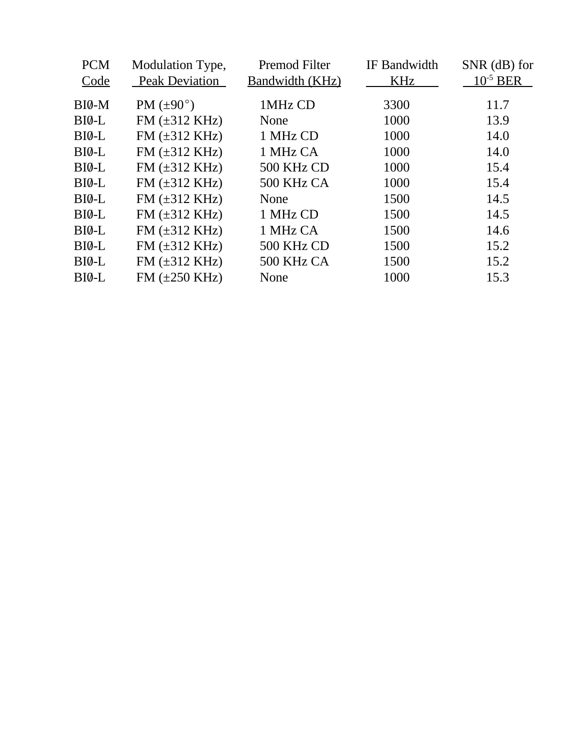| <b>PCM</b> | Modulation Type,           | Premod Filter   | IF Bandwidth | SNR (dB) for  |
|------------|----------------------------|-----------------|--------------|---------------|
| Code       | <b>Peak Deviation</b>      | Bandwidth (KHz) | KHz          | $10^{-5}$ BER |
| BIØ-M      | PM $(\pm 90^{\circ})$      | 1MHz CD         | 3300         | 11.7          |
| BIØ-L      | FM $(\pm 312 \text{ KHz})$ | None            | 1000         | 13.9          |
| BIØ-L      | $FM (\pm 312 \text{ KHz})$ | 1 MHz CD        | 1000         | 14.0          |
| BIØ-L      | FM $(\pm 312 \text{ KHz})$ | 1 MHz CA        | 1000         | 14.0          |
| BIØ-L      | FM $(\pm 312 \text{ KHz})$ | 500 KHz CD      | 1000         | 15.4          |
| $BI0-L$    | $FM (\pm 312 \text{ KHz})$ | 500 KHz CA      | 1000         | 15.4          |
| $BI0-L$    | FM $(\pm 312 \text{ KHz})$ | None            | 1500         | 14.5          |
| BIØ-L      | $FM (\pm 312 \text{ KHz})$ | 1 MHz CD        | 1500         | 14.5          |
| BIØ-L      | $FM (\pm 312 \text{ KHz})$ | 1 MHz CA        | 1500         | 14.6          |
| BIØ-L      | $FM (\pm 312 \text{ KHz})$ | 500 KHz CD      | 1500         | 15.2          |
| BIØ-L      | FM $(\pm 312 \text{ KHz})$ | 500 KHz CA      | 1500         | 15.2          |
| BIØ-L      | FM $(\pm 250$ KHz)         | None            | 1000         | 15.3          |
|            |                            |                 |              |               |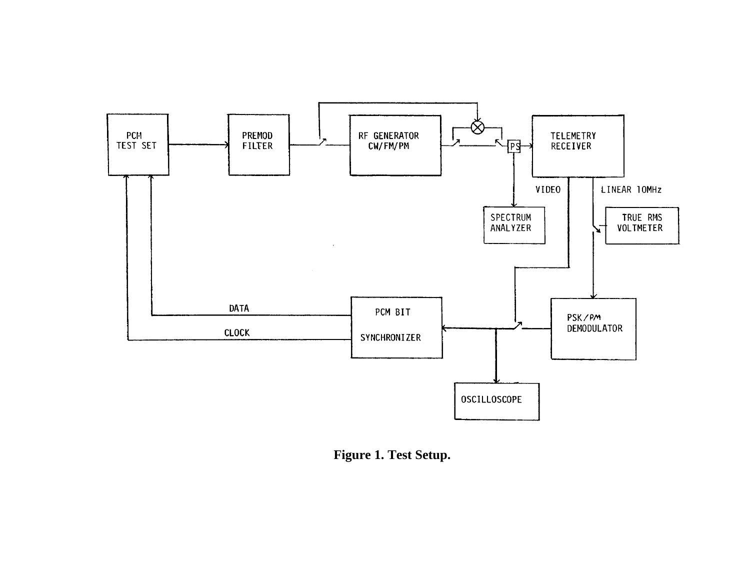

**Figure 1. Test Setup.**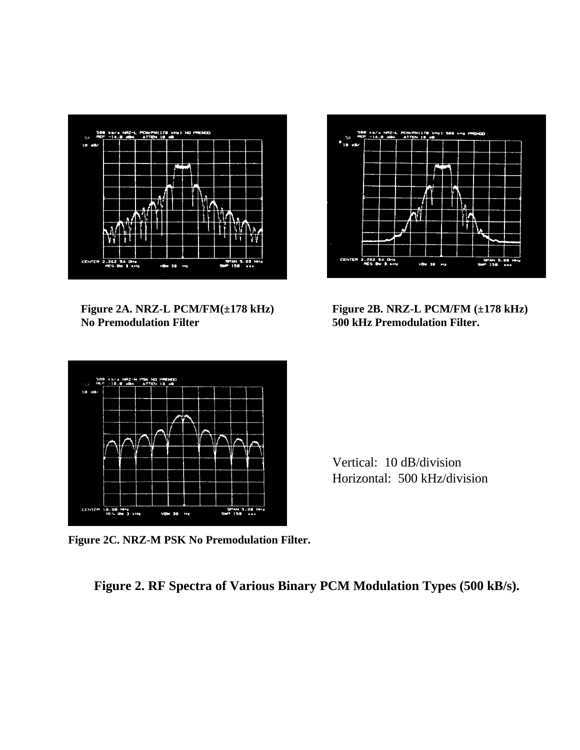

**No Premodulation Filter 500 kHz Premodulation Filter.**



**Figure 2A. NRZ-L PCM/FM(±178 kHz) Figure 2B. NRZ-L PCM/FM (±178 kHz)**



Vertical: 10 dB/division Horizontal: 500 kHz/division

**Figure 2C. NRZ-M PSK No Premodulation Filter.**

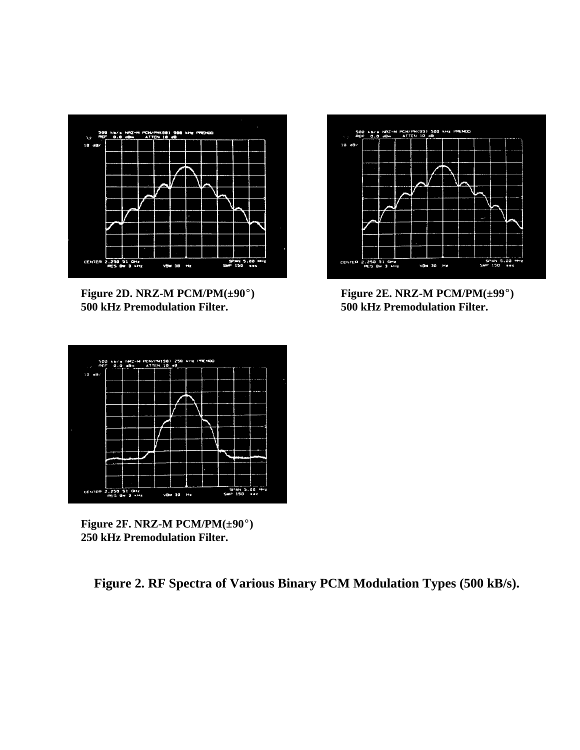

**Figure 2D. NRZ-M PCM/PM(** $\pm 90^\circ$ **) Figure 2E. NRZ-M PCM/PM(** $\pm 99^\circ$ **) 500 kHz Premodulation Filter. 500 kHz Premodulation Filter.**





**Figure 2F. NRZ-M PCM/PM(** $\pm 90^\circ$ **) 250 kHz Premodulation Filter.**

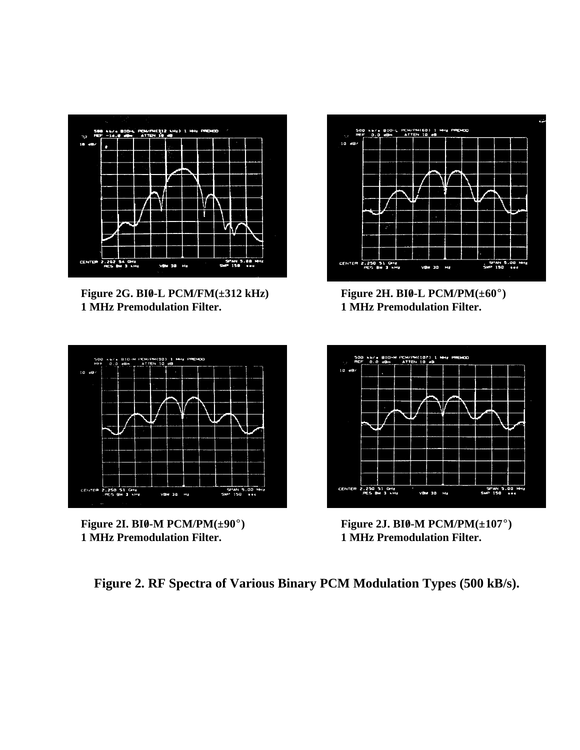

**Figure 2G. BI0-L PCM/FM(** $\pm 312$  **kHz) Figure 2H. BI0-L PCM/PM(** $\pm 60^\circ$ **) 1 MHz Premodulation Filter. 1 MHz Premodulation Filter.**





**1 MHz Premodulation Filter. 1 MHz Premodulation Filter.**



Figure 2I. BI0-M PCM/PM( $\pm$ 90°) **Figure 2J. BI0-M PCM/PM(** $\pm$ **107°)**